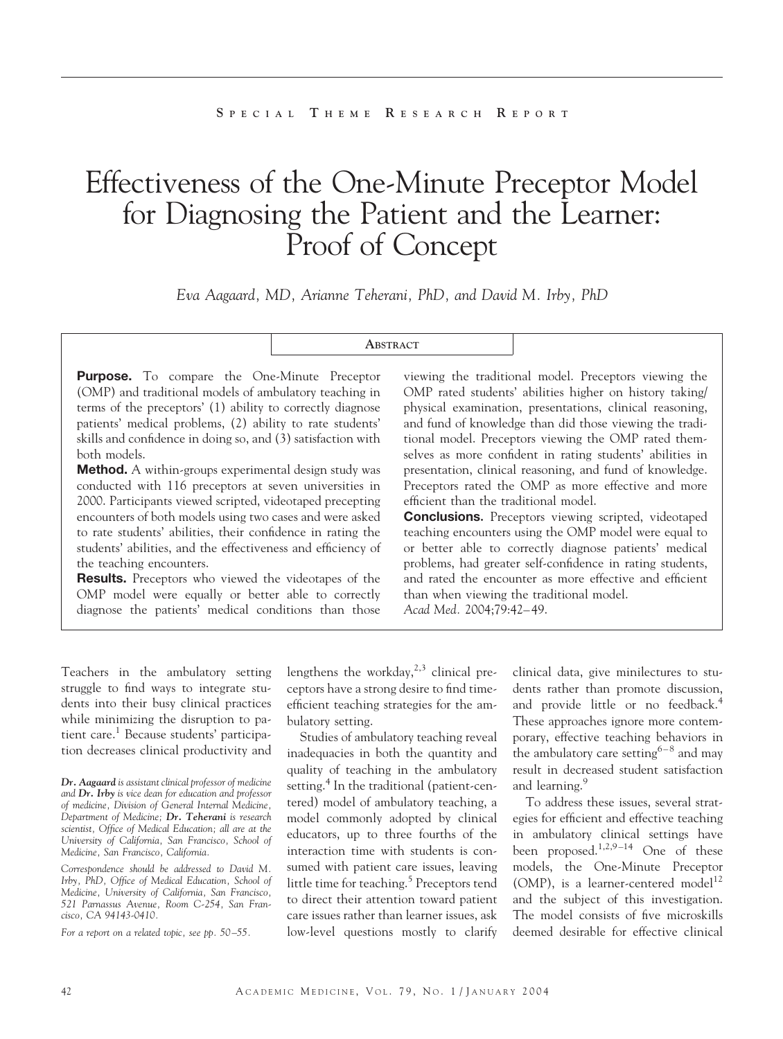# Effectiveness of the One-Minute Preceptor Model for Diagnosing the Patient and the Learner: Proof of Concept

*Eva Aagaard, MD, Arianne Teherani, PhD, and David M. Irby, PhD*

#### **ABSTRACT**

**Purpose.** To compare the One-Minute Preceptor (OMP) and traditional models of ambulatory teaching in terms of the preceptors' (1) ability to correctly diagnose patients' medical problems, (2) ability to rate students' skills and confidence in doing so, and (3) satisfaction with both models.

**Method.** A within-groups experimental design study was conducted with 116 preceptors at seven universities in 2000. Participants viewed scripted, videotaped precepting encounters of both models using two cases and were asked to rate students' abilities, their confidence in rating the students' abilities, and the effectiveness and efficiency of the teaching encounters.

**Results.** Preceptors who viewed the videotapes of the OMP model were equally or better able to correctly diagnose the patients' medical conditions than those

viewing the traditional model. Preceptors viewing the OMP rated students' abilities higher on history taking/ physical examination, presentations, clinical reasoning, and fund of knowledge than did those viewing the traditional model. Preceptors viewing the OMP rated themselves as more confident in rating students' abilities in presentation, clinical reasoning, and fund of knowledge. Preceptors rated the OMP as more effective and more efficient than the traditional model.

**Conclusions.** Preceptors viewing scripted, videotaped teaching encounters using the OMP model were equal to or better able to correctly diagnose patients' medical problems, had greater self-confidence in rating students, and rated the encounter as more effective and efficient than when viewing the traditional model. *Acad Med.* 2004;79:42–49.

Teachers in the ambulatory setting struggle to find ways to integrate students into their busy clinical practices while minimizing the disruption to patient care.<sup>1</sup> Because students' participation decreases clinical productivity and

*Correspondence should be addressed to David M. Irby, PhD, Office of Medical Education, School of Medicine, University of California, San Francisco, 521 Parnassus Avenue, Room C-254, San Francisco, CA 94143-0410.*

*For a report on a related topic, see pp. 50–55.*

lengthens the workday,  $2,3$  clinical preceptors have a strong desire to find timeefficient teaching strategies for the ambulatory setting.

Studies of ambulatory teaching reveal inadequacies in both the quantity and quality of teaching in the ambulatory setting.<sup>4</sup> In the traditional (patient-centered) model of ambulatory teaching, a model commonly adopted by clinical educators, up to three fourths of the interaction time with students is consumed with patient care issues, leaving little time for teaching.<sup>5</sup> Preceptors tend to direct their attention toward patient care issues rather than learner issues, ask low-level questions mostly to clarify clinical data, give minilectures to students rather than promote discussion, and provide little or no feedback.<sup>4</sup> These approaches ignore more contemporary, effective teaching behaviors in the ambulatory care setting  $6-8$  and may result in decreased student satisfaction and learning.<sup>9</sup>

To address these issues, several strategies for efficient and effective teaching in ambulatory clinical settings have been proposed.<sup>1,2,9–14</sup> One of these models, the One-Minute Preceptor (OMP), is a learner-centered model<sup>12</sup> and the subject of this investigation. The model consists of five microskills deemed desirable for effective clinical

*Dr. Aagaard is assistant clinical professor of medicine and Dr. Irby is vice dean for education and professor of medicine, Division of General Internal Medicine, Department of Medicine; Dr. Teherani is research scientist, Office of Medical Education; all are at the University of California, San Francisco, School of Medicine, San Francisco, California.*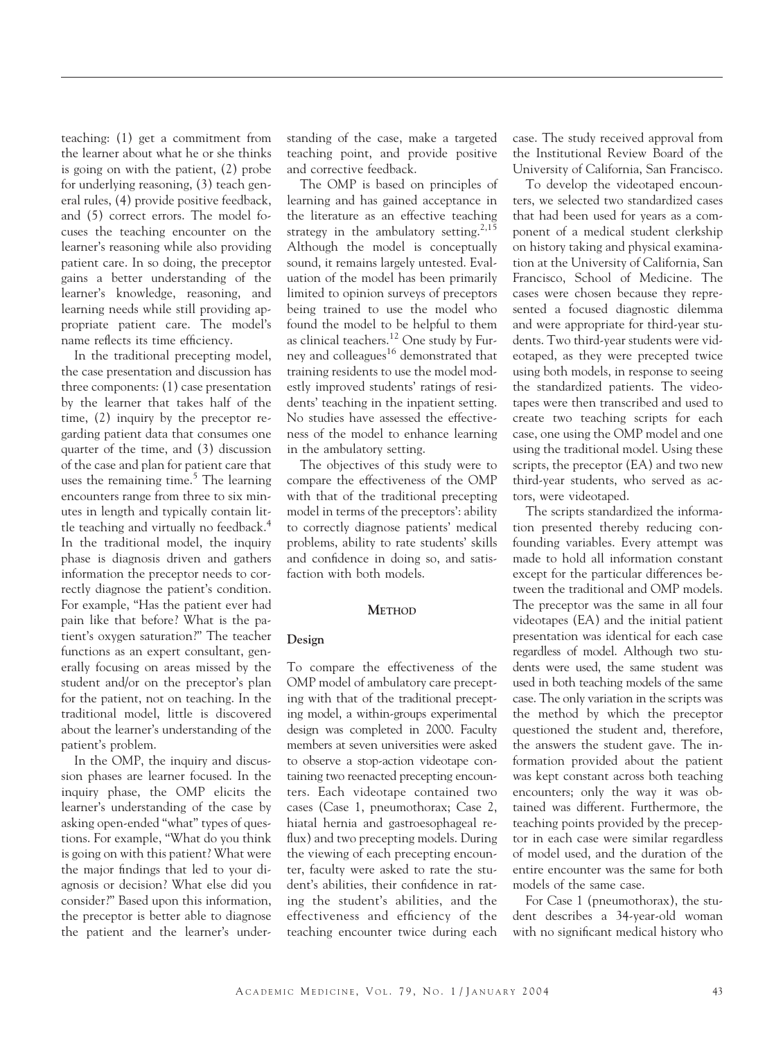teaching: (1) get a commitment from the learner about what he or she thinks is going on with the patient, (2) probe for underlying reasoning, (3) teach general rules, (4) provide positive feedback, and (5) correct errors. The model focuses the teaching encounter on the learner's reasoning while also providing patient care. In so doing, the preceptor gains a better understanding of the learner's knowledge, reasoning, and learning needs while still providing appropriate patient care. The model's name reflects its time efficiency.

In the traditional precepting model, the case presentation and discussion has three components: (1) case presentation by the learner that takes half of the time, (2) inquiry by the preceptor regarding patient data that consumes one quarter of the time, and (3) discussion of the case and plan for patient care that uses the remaining time. $5$  The learning encounters range from three to six minutes in length and typically contain little teaching and virtually no feedback.<sup>4</sup> In the traditional model, the inquiry phase is diagnosis driven and gathers information the preceptor needs to correctly diagnose the patient's condition. For example, "Has the patient ever had pain like that before? What is the patient's oxygen saturation?" The teacher functions as an expert consultant, generally focusing on areas missed by the student and/or on the preceptor's plan for the patient, not on teaching. In the traditional model, little is discovered about the learner's understanding of the patient's problem.

In the OMP, the inquiry and discussion phases are learner focused. In the inquiry phase, the OMP elicits the learner's understanding of the case by asking open-ended "what" types of questions. For example, "What do you think is going on with this patient? What were the major findings that led to your diagnosis or decision? What else did you consider?" Based upon this information, the preceptor is better able to diagnose the patient and the learner's understanding of the case, make a targeted teaching point, and provide positive and corrective feedback.

The OMP is based on principles of learning and has gained acceptance in the literature as an effective teaching strategy in the ambulatory setting.<sup>2,15</sup> Although the model is conceptually sound, it remains largely untested. Evaluation of the model has been primarily limited to opinion surveys of preceptors being trained to use the model who found the model to be helpful to them as clinical teachers.<sup>12</sup> One study by Furney and colleagues<sup>16</sup> demonstrated that training residents to use the model modestly improved students' ratings of residents' teaching in the inpatient setting. No studies have assessed the effectiveness of the model to enhance learning in the ambulatory setting.

The objectives of this study were to compare the effectiveness of the OMP with that of the traditional precepting model in terms of the preceptors': ability to correctly diagnose patients' medical problems, ability to rate students' skills and confidence in doing so, and satisfaction with both models.

#### **METHOD**

#### **Design**

To compare the effectiveness of the OMP model of ambulatory care precepting with that of the traditional precepting model, a within-groups experimental design was completed in 2000. Faculty members at seven universities were asked to observe a stop-action videotape containing two reenacted precepting encounters. Each videotape contained two cases (Case 1, pneumothorax; Case 2, hiatal hernia and gastroesophageal reflux) and two precepting models. During the viewing of each precepting encounter, faculty were asked to rate the student's abilities, their confidence in rating the student's abilities, and the effectiveness and efficiency of the teaching encounter twice during each case. The study received approval from the Institutional Review Board of the University of California, San Francisco.

To develop the videotaped encounters, we selected two standardized cases that had been used for years as a component of a medical student clerkship on history taking and physical examination at the University of California, San Francisco, School of Medicine. The cases were chosen because they represented a focused diagnostic dilemma and were appropriate for third-year students. Two third-year students were videotaped, as they were precepted twice using both models, in response to seeing the standardized patients. The videotapes were then transcribed and used to create two teaching scripts for each case, one using the OMP model and one using the traditional model. Using these scripts, the preceptor (EA) and two new third-year students, who served as actors, were videotaped.

The scripts standardized the information presented thereby reducing confounding variables. Every attempt was made to hold all information constant except for the particular differences between the traditional and OMP models. The preceptor was the same in all four videotapes (EA) and the initial patient presentation was identical for each case regardless of model. Although two students were used, the same student was used in both teaching models of the same case. The only variation in the scripts was the method by which the preceptor questioned the student and, therefore, the answers the student gave. The information provided about the patient was kept constant across both teaching encounters; only the way it was obtained was different. Furthermore, the teaching points provided by the preceptor in each case were similar regardless of model used, and the duration of the entire encounter was the same for both models of the same case.

For Case 1 (pneumothorax), the student describes a 34-year-old woman with no significant medical history who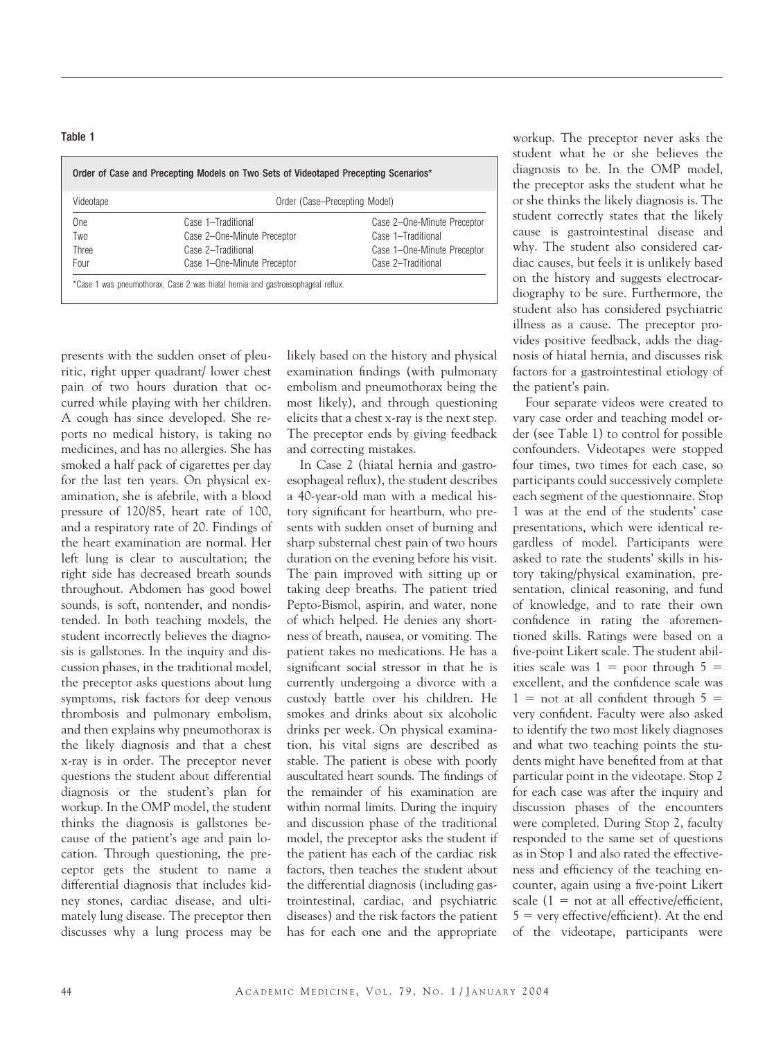| Videotape    | Order (Case–Precepting Model) |                             |  |  |  |
|--------------|-------------------------------|-----------------------------|--|--|--|
| 0ne          | Case 1-Traditional            | Case 2-One-Minute Preceptor |  |  |  |
| Two          | Case 2-One-Minute Preceptor   | Case 1-Traditional          |  |  |  |
| <b>Three</b> | Case 2-Traditional            | Case 1-One-Minute Preceptor |  |  |  |
| Four         | Case 1-One-Minute Preceptor   | Case 2-Traditional          |  |  |  |

presents with the sudden onset of pleuritic, right upper quadrant/ lower chest pain of two hours duration that occurred while playing with her children. A cough has since developed. She reports no medical history, is taking no medicines, and has no allergies. She has smoked a half pack of cigarettes per day for the last ten years. On physical examination, she is afebrile, with a blood pressure of 120/85, heart rate of 100, and a respiratory rate of 20. Findings of the heart examination are normal. Her left lung is clear to auscultation; the right side has decreased breath sounds throughout. Abdomen has good bowel sounds, is soft, nontender, and nondistended. In both teaching models, the student incorrectly believes the diagnosis is gallstones. In the inquiry and discussion phases, in the traditional model, the preceptor asks questions about lung symptoms, risk factors for deep venous thrombosis and pulmonary embolism, and then explains why pneumothorax is the likely diagnosis and that a chest x-ray is in order. The preceptor never questions the student about differential diagnosis or the student's plan for workup. In the OMP model, the student thinks the diagnosis is gallstones because of the patient's age and pain location. Through questioning, the preceptor gets the student to name a differential diagnosis that includes kidney stones, cardiac disease, and ultimately lung disease. The preceptor then discusses why a lung process may be

likely based on the history and physical examination findings (with pulmonary embolism and pneumothorax being the most likely), and through questioning elicits that a chest x-ray is the next step. The preceptor ends by giving feedback and correcting mistakes.

In Case 2 (hiatal hernia and gastroesophageal reflux), the student describes a 40-year-old man with a medical history significant for heartburn, who presents with sudden onset of burning and sharp substernal chest pain of two hours duration on the evening before his visit. The pain improved with sitting up or taking deep breaths. The patient tried Pepto-Bismol, aspirin, and water, none of which helped. He denies any shortness of breath, nausea, or vomiting. The patient takes no medications. He has a significant social stressor in that he is currently undergoing a divorce with a custody battle over his children. He smokes and drinks about six alcoholic drinks per week. On physical examination, his vital signs are described as stable. The patient is obese with poorly auscultated heart sounds. The findings of the remainder of his examination are within normal limits. During the inquiry and discussion phase of the traditional model, the preceptor asks the student if the patient has each of the cardiac risk factors, then teaches the student about the differential diagnosis (including gastrointestinal, cardiac, and psychiatric diseases) and the risk factors the patient has for each one and the appropriate

workup. The preceptor never asks the student what he or she believes the diagnosis to be. In the OMP model, the preceptor asks the student what he or she thinks the likely diagnosis is. The student correctly states that the likely cause is gastrointestinal disease and why. The student also considered cardiac causes, but feels it is unlikely based on the history and suggests electrocardiography to be sure. Furthermore, the student also has considered psychiatric illness as a cause. The preceptor provides positive feedback, adds the diagnosis of hiatal hernia, and discusses risk factors for a gastrointestinal etiology of the patient's pain.

Four separate videos were created to vary case order and teaching model order (see Table 1) to control for possible confounders. Videotapes were stopped four times, two times for each case, so participants could successively complete each segment of the questionnaire. Stop 1 was at the end of the students' case presentations, which were identical regardless of model. Participants were asked to rate the students' skills in history taking/physical examination, presentation, clinical reasoning, and fund of knowledge, and to rate their own confidence in rating the aforementioned skills. Ratings were based on a five-point Likert scale. The student abilities scale was  $1 =$  poor through  $5 =$ excellent, and the confidence scale was  $1 =$  not at all confident through  $5 =$ very confident. Faculty were also asked to identify the two most likely diagnoses and what two teaching points the students might have benefited from at that particular point in the videotape. Stop 2 for each case was after the inquiry and discussion phases of the encounters were completed. During Stop 2, faculty responded to the same set of questions as in Stop 1 and also rated the effectiveness and efficiency of the teaching encounter, again using a five-point Likert scale  $(1 = not at all effective/efficient,$  $5 =$  very effective/efficient). At the end of the videotape, participants were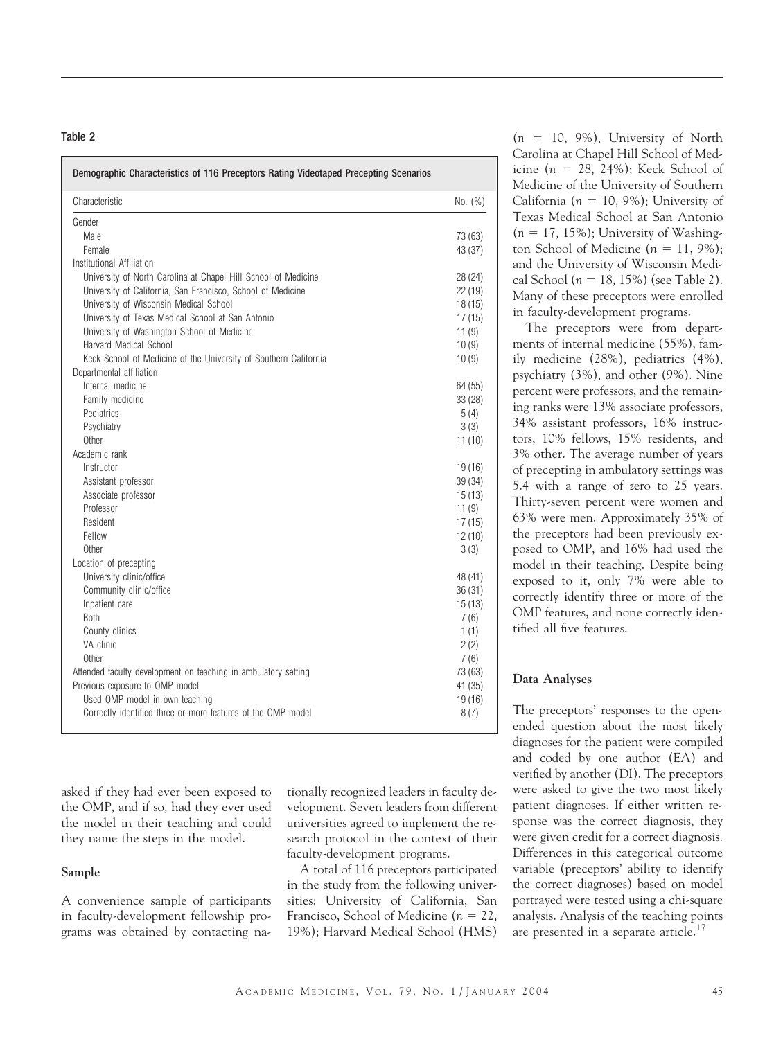#### Table 2

Demographic Characteristics of 116 Preceptors Rating Videotaped Precepting Scenarios

| Characteristic                                                   | No. (%) |
|------------------------------------------------------------------|---------|
| Gender                                                           |         |
| Male                                                             | 73 (63) |
| Female                                                           | 43 (37) |
| Institutional Affiliation                                        |         |
| University of North Carolina at Chapel Hill School of Medicine   | 28(24)  |
| University of California, San Francisco, School of Medicine      | 22(19)  |
| University of Wisconsin Medical School                           | 18(15)  |
| University of Texas Medical School at San Antonio                | 17(15)  |
| University of Washington School of Medicine                      | 11(9)   |
| Harvard Medical School                                           | 10(9)   |
| Keck School of Medicine of the University of Southern California | 10(9)   |
| Departmental affiliation                                         |         |
| Internal medicine                                                | 64 (55) |
| Family medicine                                                  | 33(28)  |
| Pediatrics                                                       | 5(4)    |
| Psychiatry                                                       | 3(3)    |
| Other                                                            | 11(10)  |
| Academic rank                                                    |         |
| Instructor                                                       | 19(16)  |
| Assistant professor                                              | 39(34)  |
| Associate professor                                              | 15(13)  |
| Professor                                                        | 11(9)   |
| Resident                                                         | 17(15)  |
| Fellow                                                           | 12(10)  |
| <b>Other</b>                                                     | 3(3)    |
| Location of precepting                                           |         |
| University clinic/office                                         | 48 (41) |
| Community clinic/office                                          | 36(31)  |
| Inpatient care                                                   | 15(13)  |
| <b>Both</b>                                                      | 7(6)    |
| County clinics                                                   | 1(1)    |
| VA clinic                                                        | 2(2)    |
| Other                                                            | 7(6)    |
| Attended faculty development on teaching in ambulatory setting   | 73 (63) |
| Previous exposure to OMP model                                   | 41(35)  |
| Used OMP model in own teaching                                   | 19(16)  |
| Correctly identified three or more features of the OMP model     | 8(7)    |

asked if they had ever been exposed to the OMP, and if so, had they ever used the model in their teaching and could they name the steps in the model.

#### **Sample**

A convenience sample of participants in faculty-development fellowship programs was obtained by contacting na-

tionally recognized leaders in faculty development. Seven leaders from different universities agreed to implement the research protocol in the context of their faculty-development programs.

A total of 116 preceptors participated in the study from the following universities: University of California, San Francisco, School of Medicine (*n* = 22, 19%); Harvard Medical School (HMS)

 $(n = 10, 9\%)$ , University of North Carolina at Chapel Hill School of Medicine  $(n = 28, 24\%)$ ; Keck School of Medicine of the University of Southern California ( $n = 10, 9\%$ ); University of Texas Medical School at San Antonio  $(n = 17, 15\%)$ ; University of Washington School of Medicine  $(n = 11, 9\%)$ ; and the University of Wisconsin Medical School ( $n = 18, 15\%$ ) (see Table 2). Many of these preceptors were enrolled in faculty-development programs.

The preceptors were from departments of internal medicine (55%), family medicine (28%), pediatrics (4%), psychiatry (3%), and other (9%). Nine percent were professors, and the remaining ranks were 13% associate professors, 34% assistant professors, 16% instructors, 10% fellows, 15% residents, and 3% other. The average number of years of precepting in ambulatory settings was 5.4 with a range of zero to 25 years. Thirty-seven percent were women and 63% were men. Approximately 35% of the preceptors had been previously exposed to OMP, and 16% had used the model in their teaching. Despite being exposed to it, only 7% were able to correctly identify three or more of the OMP features, and none correctly identified all five features.

#### **Data Analyses**

The preceptors' responses to the openended question about the most likely diagnoses for the patient were compiled and coded by one author (EA) and verified by another (DI). The preceptors were asked to give the two most likely patient diagnoses. If either written response was the correct diagnosis, they were given credit for a correct diagnosis. Differences in this categorical outcome variable (preceptors' ability to identify the correct diagnoses) based on model portrayed were tested using a chi-square analysis. Analysis of the teaching points are presented in a separate article.<sup>17</sup>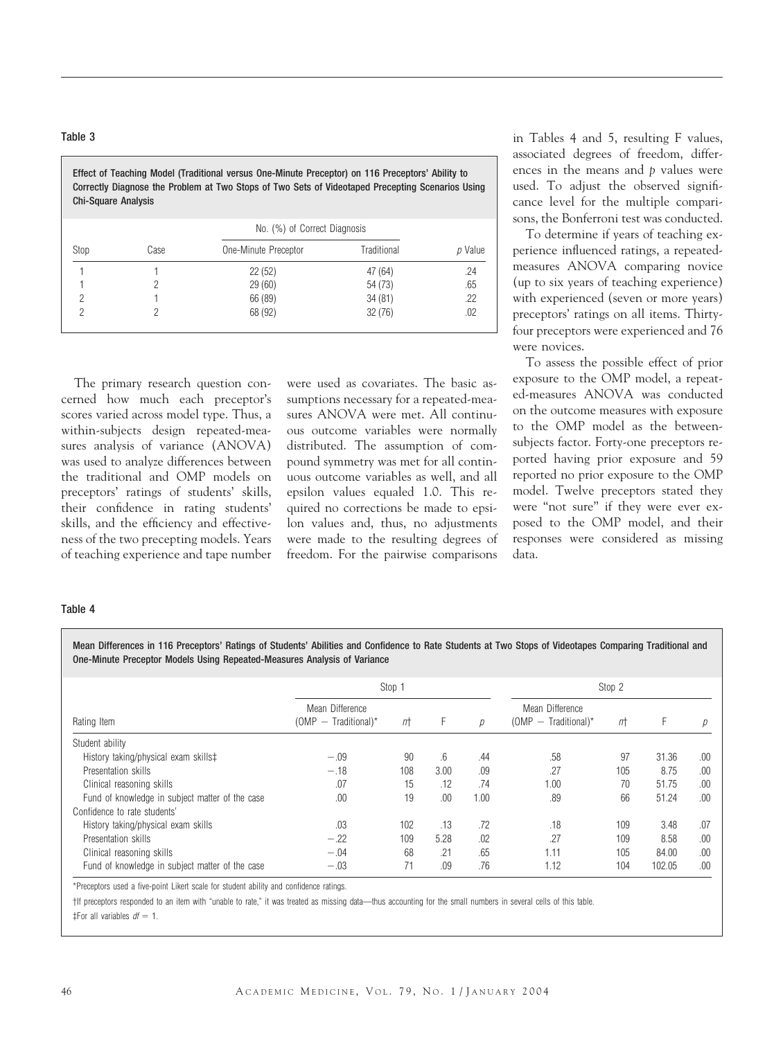#### Table 3

Effect of Teaching Model (Traditional versus One-Minute Preceptor) on 116 Preceptors' Ability to Correctly Diagnose the Problem at Two Stops of Two Sets of Videotaped Precepting Scenarios Using Chi-Square Analysis

|      |      | No. (%) of Correct Diagnosis |             |         |
|------|------|------------------------------|-------------|---------|
| Stop | Case | One-Minute Preceptor         | Traditional | p Value |
|      |      | 22(52)                       | 47 (64)     | .24     |
|      |      | 29(60)                       | 54 (73)     | .65     |
|      |      | 66 (89)                      | 34(81)      | .22     |
|      |      | 68 (92)                      | 32(76)      | .02     |

The primary research question concerned how much each preceptor's scores varied across model type. Thus, a within-subjects design repeated-measures analysis of variance (ANOVA) was used to analyze differences between the traditional and OMP models on preceptors' ratings of students' skills, their confidence in rating students' skills, and the efficiency and effectiveness of the two precepting models. Years of teaching experience and tape number

were used as covariates. The basic assumptions necessary for a repeated-measures ANOVA were met. All continuous outcome variables were normally distributed. The assumption of compound symmetry was met for all continuous outcome variables as well, and all epsilon values equaled 1.0. This required no corrections be made to epsilon values and, thus, no adjustments were made to the resulting degrees of freedom. For the pairwise comparisons in Tables 4 and 5, resulting F values, associated degrees of freedom, differences in the means and *p* values were used. To adjust the observed significance level for the multiple comparisons, the Bonferroni test was conducted.

To determine if years of teaching experience influenced ratings, a repeatedmeasures ANOVA comparing novice (up to six years of teaching experience) with experienced (seven or more years) preceptors' ratings on all items. Thirtyfour preceptors were experienced and 76 were novices.

To assess the possible effect of prior exposure to the OMP model, a repeated-measures ANOVA was conducted on the outcome measures with exposure to the OMP model as the betweensubjects factor. Forty-one preceptors reported having prior exposure and 59 reported no prior exposure to the OMP model. Twelve preceptors stated they were "not sure" if they were ever exposed to the OMP model, and their responses were considered as missing data.

#### Table 4

Mean Differences in 116 Preceptors' Ratings of Students' Abilities and Confidence to Rate Students at Two Stops of Videotapes Comparing Traditional and One-Minute Preceptor Models Using Repeated-Measures Analysis of Variance

|                                                 | Stop 1                                     |     |      |      | Stop 2                                    |       |        |     |
|-------------------------------------------------|--------------------------------------------|-----|------|------|-------------------------------------------|-------|--------|-----|
| Rating Item                                     | Mean Difference<br>$(OMP - Traditional)^*$ | mτ  | F    | р    | Mean Difference<br>$(OMP - Traditional)*$ | $\pi$ |        | D   |
| Student ability                                 |                                            |     |      |      |                                           |       |        |     |
| History taking/physical exam skills‡            | $-.09$                                     | 90  | .6   | .44  | .58                                       | 97    | 31.36  | .00 |
| Presentation skills                             | $-.18$                                     | 108 | 3.00 | .09  | .27                                       | 105   | 8.75   | .00 |
| Clinical reasoning skills                       | .07                                        | 15  | .12  | .74  | 1.00                                      | 70    | 51.75  | .00 |
| Fund of knowledge in subject matter of the case | .00                                        | 19  | .00  | 1.00 | .89                                       | 66    | 51.24  | .00 |
| Confidence to rate students'                    |                                            |     |      |      |                                           |       |        |     |
| History taking/physical exam skills             | .03                                        | 102 | .13  | .72  | .18                                       | 109   | 3.48   | .07 |
| Presentation skills                             | $-.22$                                     | 109 | 5.28 | .02  | .27                                       | 109   | 8.58   | .00 |
| Clinical reasoning skills                       | $-.04$                                     | 68  | .21  | .65  | 1.11                                      | 105   | 84.00  | .00 |
| Fund of knowledge in subject matter of the case | $-.03$                                     |     | .09  | .76  | 1.12                                      | 104   | 102.05 | .00 |

\*Preceptors used a five-point Likert scale for student ability and confidence ratings.

†If preceptors responded to an item with "unable to rate," it was treated as missing data—thus accounting for the small numbers in several cells of this table.  $#For all variables df = 1.$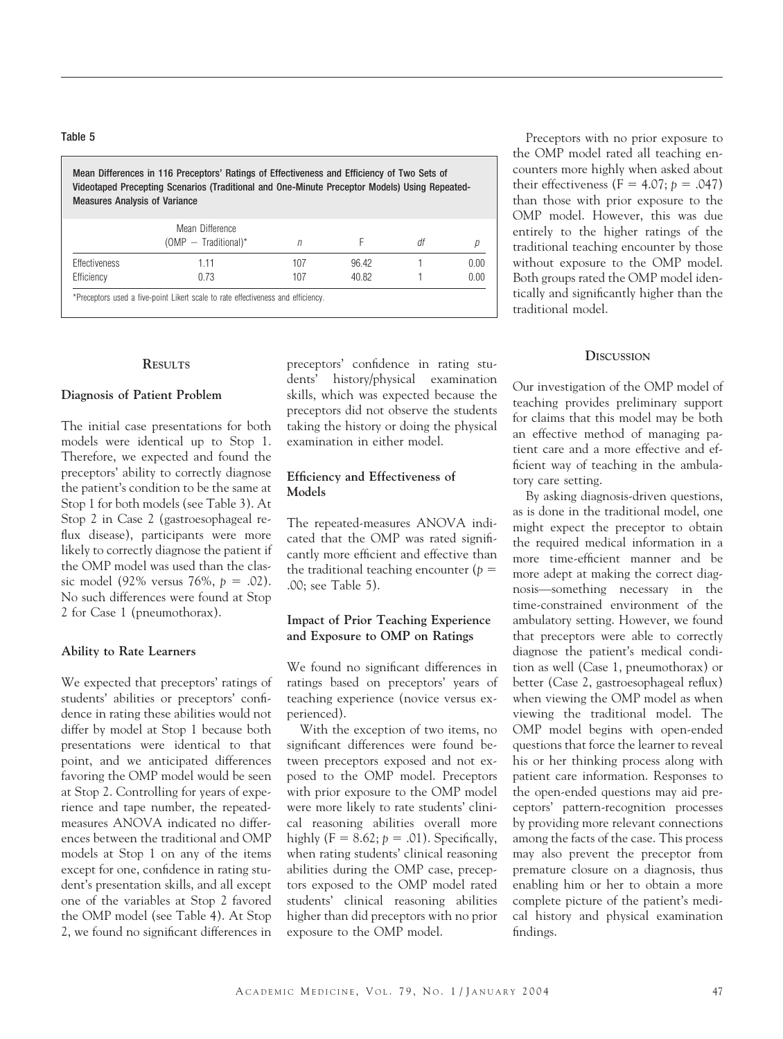#### Table 5

Mean Differences in 116 Preceptors' Ratings of Effectiveness and Efficiency of Two Sets of Videotaped Precepting Scenarios (Traditional and One-Minute Preceptor Models) Using Repeated-Measures Analysis of Variance

|                      | Mean Difference<br>$(OMP - Traditional)^*$ |     |       | αı |      |
|----------------------|--------------------------------------------|-----|-------|----|------|
| <b>Effectiveness</b> | 1 11                                       | 107 | 96.42 |    | 0.00 |
| Efficiency           | 0.73                                       | 107 | 40.82 |    | 0.00 |

Preceptors with no prior exposure to the OMP model rated all teaching encounters more highly when asked about their effectiveness  $(F = 4.07; p = .047)$ than those with prior exposure to the OMP model. However, this was due entirely to the higher ratings of the traditional teaching encounter by those without exposure to the OMP model. Both groups rated the OMP model identically and significantly higher than the traditional model.

#### **RESULTS**

#### **Diagnosis of Patient Problem**

The initial case presentations for both models were identical up to Stop 1. Therefore, we expected and found the preceptors' ability to correctly diagnose the patient's condition to be the same at Stop 1 for both models (see Table 3). At Stop 2 in Case 2 (gastroesophageal reflux disease), participants were more likely to correctly diagnose the patient if the OMP model was used than the classic model (92% versus 76%,  $p = .02$ ). No such differences were found at Stop 2 for Case 1 (pneumothorax).

#### **Ability to Rate Learners**

We expected that preceptors' ratings of students' abilities or preceptors' confidence in rating these abilities would not differ by model at Stop 1 because both presentations were identical to that point, and we anticipated differences favoring the OMP model would be seen at Stop 2. Controlling for years of experience and tape number, the repeatedmeasures ANOVA indicated no differences between the traditional and OMP models at Stop 1 on any of the items except for one, confidence in rating student's presentation skills, and all except one of the variables at Stop 2 favored the OMP model (see Table 4). At Stop 2, we found no significant differences in

preceptors' confidence in rating students' history/physical examination skills, which was expected because the preceptors did not observe the students taking the history or doing the physical examination in either model.

## **Efficiency and Effectiveness of Models**

The repeated-measures ANOVA indicated that the OMP was rated significantly more efficient and effective than the traditional teaching encounter  $(p =$ .00; see Table 5).

### **Impact of Prior Teaching Experience and Exposure to OMP on Ratings**

We found no significant differences in ratings based on preceptors' years of teaching experience (novice versus experienced).

With the exception of two items, no significant differences were found between preceptors exposed and not exposed to the OMP model. Preceptors with prior exposure to the OMP model were more likely to rate students' clinical reasoning abilities overall more highly  $(F = 8.62; p = .01)$ . Specifically, when rating students' clinical reasoning abilities during the OMP case, preceptors exposed to the OMP model rated students' clinical reasoning abilities higher than did preceptors with no prior exposure to the OMP model.

#### **DISCUSSION**

Our investigation of the OMP model of teaching provides preliminary support for claims that this model may be both an effective method of managing patient care and a more effective and efficient way of teaching in the ambulatory care setting.

By asking diagnosis-driven questions, as is done in the traditional model, one might expect the preceptor to obtain the required medical information in a more time-efficient manner and be more adept at making the correct diagnosis—something necessary in the time-constrained environment of the ambulatory setting. However, we found that preceptors were able to correctly diagnose the patient's medical condition as well (Case 1, pneumothorax) or better (Case 2, gastroesophageal reflux) when viewing the OMP model as when viewing the traditional model. The OMP model begins with open-ended questions that force the learner to reveal his or her thinking process along with patient care information. Responses to the open-ended questions may aid preceptors' pattern-recognition processes by providing more relevant connections among the facts of the case. This process may also prevent the preceptor from premature closure on a diagnosis, thus enabling him or her to obtain a more complete picture of the patient's medical history and physical examination findings.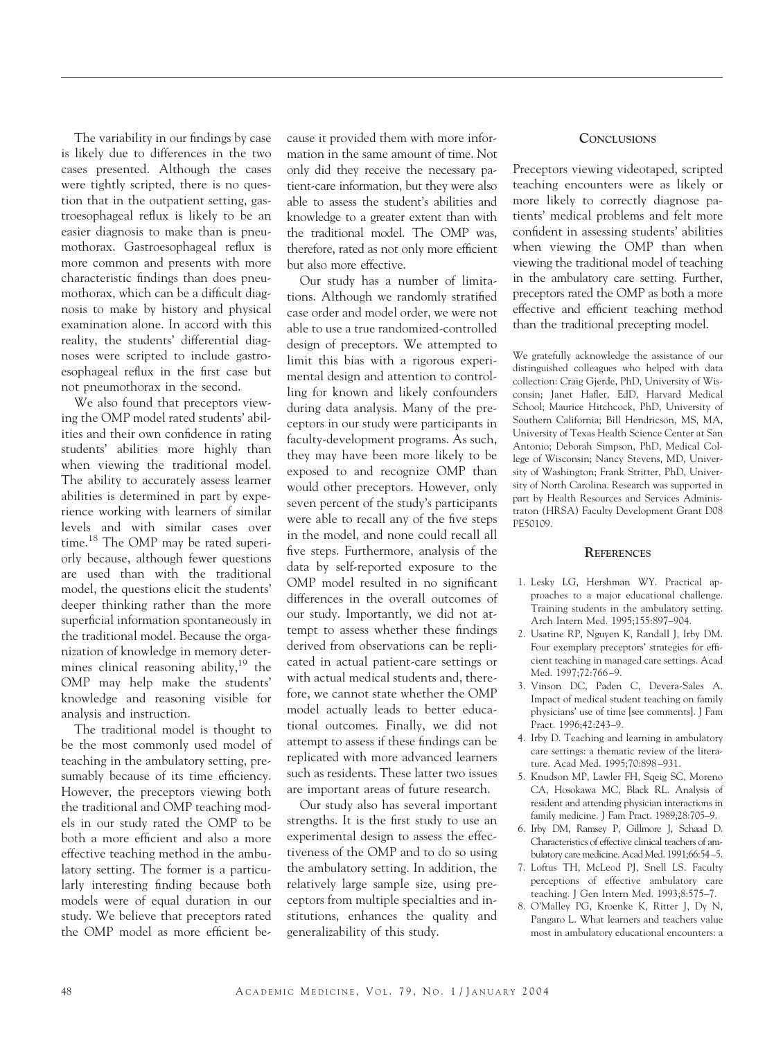The variability in our findings by case is likely due to differences in the two cases presented. Although the cases were tightly scripted, there is no question that in the outpatient setting, gastroesophageal reflux is likely to be an easier diagnosis to make than is pneumothorax. Gastroesophageal reflux is more common and presents with more characteristic findings than does pneumothorax, which can be a difficult diagnosis to make by history and physical examination alone. In accord with this reality, the students' differential diagnoses were scripted to include gastroesophageal reflux in the first case but not pneumothorax in the second.

We also found that preceptors viewing the OMP model rated students' abilities and their own confidence in rating students' abilities more highly than when viewing the traditional model. The ability to accurately assess learner abilities is determined in part by experience working with learners of similar levels and with similar cases over time.<sup>18</sup> The OMP may be rated superiorly because, although fewer questions are used than with the traditional model, the questions elicit the students' deeper thinking rather than the more superficial information spontaneously in the traditional model. Because the organization of knowledge in memory determines clinical reasoning ability, $19$  the OMP may help make the students' knowledge and reasoning visible for analysis and instruction.

The traditional model is thought to be the most commonly used model of teaching in the ambulatory setting, presumably because of its time efficiency. However, the preceptors viewing both the traditional and OMP teaching models in our study rated the OMP to be both a more efficient and also a more effective teaching method in the ambulatory setting. The former is a particularly interesting finding because both models were of equal duration in our study. We believe that preceptors rated the OMP model as more efficient be-

cause it provided them with more information in the same amount of time. Not only did they receive the necessary patient-care information, but they were also able to assess the student's abilities and knowledge to a greater extent than with the traditional model. The OMP was, therefore, rated as not only more efficient but also more effective.

Our study has a number of limitations. Although we randomly stratified case order and model order, we were not able to use a true randomized-controlled design of preceptors. We attempted to limit this bias with a rigorous experimental design and attention to controlling for known and likely confounders during data analysis. Many of the preceptors in our study were participants in faculty-development programs. As such, they may have been more likely to be exposed to and recognize OMP than would other preceptors. However, only seven percent of the study's participants were able to recall any of the five steps in the model, and none could recall all five steps. Furthermore, analysis of the data by self-reported exposure to the OMP model resulted in no significant differences in the overall outcomes of our study. Importantly, we did not attempt to assess whether these findings derived from observations can be replicated in actual patient-care settings or with actual medical students and, therefore, we cannot state whether the OMP model actually leads to better educational outcomes. Finally, we did not attempt to assess if these findings can be replicated with more advanced learners such as residents. These latter two issues are important areas of future research.

Our study also has several important strengths. It is the first study to use an experimental design to assess the effectiveness of the OMP and to do so using the ambulatory setting. In addition, the relatively large sample size, using preceptors from multiple specialties and institutions, enhances the quality and generalizability of this study.

#### **CONCLUSIONS**

Preceptors viewing videotaped, scripted teaching encounters were as likely or more likely to correctly diagnose patients' medical problems and felt more confident in assessing students' abilities when viewing the OMP than when viewing the traditional model of teaching in the ambulatory care setting. Further, preceptors rated the OMP as both a more effective and efficient teaching method than the traditional precepting model.

We gratefully acknowledge the assistance of our distinguished colleagues who helped with data collection: Craig Gjerde, PhD, University of Wisconsin; Janet Hafler, EdD, Harvard Medical School; Maurice Hitchcock, PhD, University of Southern California; Bill Hendricson, MS, MA, University of Texas Health Science Center at San Antonio; Deborah Simpson, PhD, Medical College of Wisconsin; Nancy Stevens, MD, University of Washington; Frank Stritter, PhD, University of North Carolina. Research was supported in part by Health Resources and Services Administraton (HRSA) Faculty Development Grant D08 PE50109.

#### **REFERENCES**

- 1. Lesky LG, Hershman WY. Practical approaches to a major educational challenge. Training students in the ambulatory setting. Arch Intern Med. 1995;155:897–904.
- 2. Usatine RP, Nguyen K, Randall J, Irby DM. Four exemplary preceptors' strategies for efficient teaching in managed care settings. Acad Med. 1997;72:766–9.
- 3. Vinson DC, Paden C, Devera-Sales A. Impact of medical student teaching on family physicians' use of time [see comments]. J Fam Pract. 1996;42:243–9.
- 4. Irby D. Teaching and learning in ambulatory care settings: a thematic review of the literature. Acad Med. 1995;70:898–931.
- 5. Knudson MP, Lawler FH, Sqeig SC, Moreno CA, Hosokawa MC, Black RL. Analysis of resident and attending physician interactions in family medicine. J Fam Pract. 1989;28:705–9.
- 6. Irby DM, Ramsey P, Gillmore J, Schaad D. Characteristics of effective clinical teachers of ambulatory care medicine. Acad Med. 1991;66:54–5.
- 7. Loftus TH, McLeod PJ, Snell LS. Faculty perceptions of effective ambulatory care teaching. J Gen Intern Med. 1993;8:575–7.
- 8. O'Malley PG, Kroenke K, Ritter J, Dy N, Pangaro L. What learners and teachers value most in ambulatory educational encounters: a